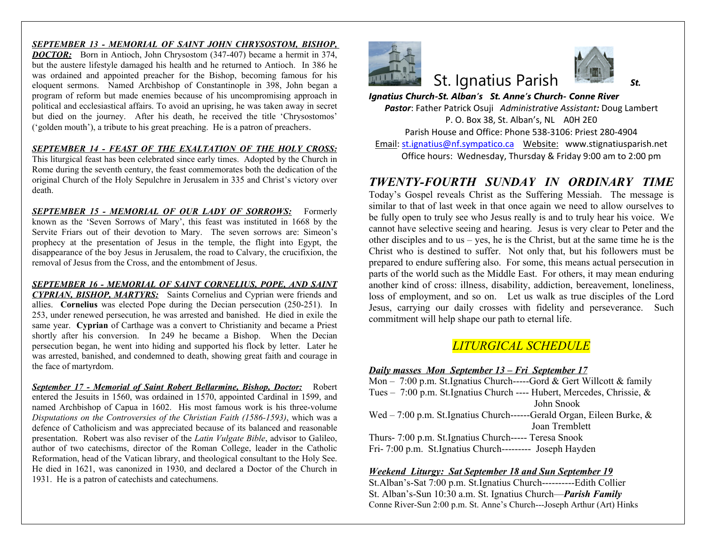*SEPTEMBER 13 - MEMORIAL OF SAINT JOHN CHRYSOSTOM, BISHOP, DOCTOR:* Born in Antioch, John Chrysostom (347-407) became a hermit in 374, but the austere lifestyle damaged his health and he returned to Antioch. In 386 he was ordained and appointed preacher for the Bishop, becoming famous for his eloquent sermons. Named Archbishop of Constantinople in 398, John began a program of reform but made enemies because of his uncompromising approach in political and ecclesiastical affairs. To avoid an uprising, he was taken away in secret but died on the journey. After his death, he received the title 'Chrysostomos' ('golden mouth'), a tribute to his great preaching. He is a patron of preachers.

#### *SEPTEMBER 14 - FEAST OF THE EXALTATION OF THE HOLY CROSS:*

This liturgical feast has been celebrated since early times. Adopted by the Church in Rome during the seventh century, the feast commemorates both the dedication of the original Church of the Holy Sepulchre in Jerusalem in 335 and Christ's victory over death.

*SEPTEMBER 15 - MEMORIAL OF OUR LADY OF SORROWS:* Formerly known as the 'Seven Sorrows of Mary', this feast was instituted in 1668 by the Servite Friars out of their devotion to Mary. The seven sorrows are: Simeon's prophecy at the presentation of Jesus in the temple, the flight into Egypt, the disappearance of the boy Jesus in Jerusalem, the road to Calvary, the crucifixion, the removal of Jesus from the Cross, and the entombment of Jesus.

*SEPTEMBER 16 - MEMORIAL OF SAINT CORNELIUS, POPE, AND SAINT CYPRIAN, BISHOP, MARTYRS:* Saints Cornelius and Cyprian were friends and allies. **Cornelius** was elected Pope during the Decian persecution (250-251). In 253, under renewed persecution, he was arrested and banished. He died in exile the same year. **Cyprian** of Carthage was a convert to Christianity and became a Priest shortly after his conversion. In 249 he became a Bishop. When the Decian persecution began, he went into hiding and supported his flock by letter. Later he was arrested, banished, and condemned to death, showing great faith and courage in the face of martyrdom.

*September 17 - Memorial of Saint Robert Bellarmine, Bishop, Doctor:* Robert entered the Jesuits in 1560, was ordained in 1570, appointed Cardinal in 1599, and named Archbishop of Capua in 1602. His most famous work is his three-volume *Disputations on the Controversies of the Christian Faith (1586-1593)*, which was a defence of Catholicism and was appreciated because of its balanced and reasonable presentation. Robert was also reviser of the *Latin Vulgate Bible*, advisor to Galileo, author of two catechisms, director of the Roman College, leader in the Catholic Reformation, head of the Vatican library, and theological consultant to the Holy See. He died in 1621, was canonized in 1930, and declared a Doctor of the Church in 1931. He is a patron of catechists and catechumens.



# **St. Ignatius Paris**

*Ignatius Church-St. Alban's St. Anne's Ch* **Pastor: Father Patrick Osuji Administrative Assistant** P. O. Box 38, St. Alban's, Parish House and Office: Phone 538 Email: st.ignatius@nf.sympatico.ca Webs Office hours: Wednesday, Thursday

## $TWENTY-FOURTH$  *SUNDAY*

Today's Gospel reveals Christ as the Suffer similar to that of last week in that once again be fully open to truly see who Jesus really is cannot have selective seeing and hearing. Je other disciples and to us  $-$  yes, he is the Chri Christ who is destined to suffer. Not only prepared to endure suffering also. For some, parts of the world such as the Middle East. I another kind of cross: illness, disability, add loss of employment, and so on. Let us walk Jesus, carrying our daily crosses with fidelity commitment will help shape our path to etern

# $LITURGICAL$  *SCH*

*Daily masses Mon September 13 – Fri September 17*

Mon  $-7:00$  p.m. St. Ignatius Church-----Gord Tues –  $7:00$  p.m. St. Ignatius Church ---- Hul John John Supple

Wed –  $7:00$  p.m. St.Ignatius Church------Ger Joa

Thurs- 7:00 p.m. St.Ignatius Church----- Tere Fri-  $7:00$  p.m. St.Ignatius Church--------- Jo

#### **Weekend Liturgy: Sat September 18 and S**

St.Alban's-Sat 7:00 p.m. St.Ignatius Church-St. Alban's-Sun 10:30 a.m. St. Ignatius Chur Conne River-Sun 2:00 p.m. St. Anne's Church---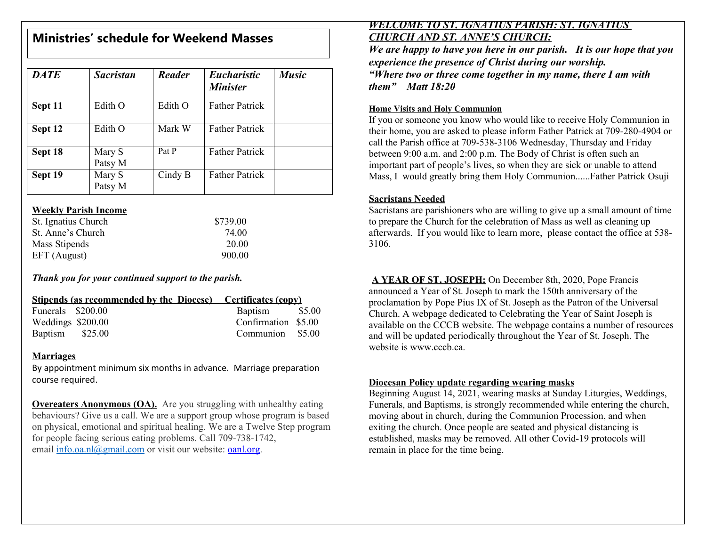| <b>Ministries' schedule for Weekend Masses</b> |                   |         |                                       |              |  |  |  |
|------------------------------------------------|-------------------|---------|---------------------------------------|--------------|--|--|--|
| <b>DATE</b>                                    | <b>Sacristan</b>  | Reader  | <b>Eucharistic</b><br><b>Minister</b> | <b>Music</b> |  |  |  |
| Sept 11                                        | Edith O           | Edith O | <b>Father Patrick</b>                 |              |  |  |  |
| Sept 12                                        | Edith O           | Mark W  | <b>Father Patrick</b>                 |              |  |  |  |
| Sept 18                                        | Mary S<br>Patsy M | Pat P   | <b>Father Patrick</b>                 |              |  |  |  |
| Sept 19                                        | Mary S<br>Patsy M | Cindy B | <b>Father Patrick</b>                 |              |  |  |  |

#### **Weekly Parish Income**

| St. Ignatius Church | \$739.00 |
|---------------------|----------|
| St. Anne's Church   | 74.00    |
| Mass Stipends       | 20.00    |
| EFT (August)        | 900.00   |

#### *Than[k you for your continu](mailto:info.oa.nl@gmail.com)ed support to the pa[rish.](http://oanl.org/)*

|                   |  | <b>Stipends (as recommended by the Diocese)</b> Certificates (copy) |  |
|-------------------|--|---------------------------------------------------------------------|--|
| Funerals \$200.00 |  | Baptism \$5.00                                                      |  |
| Weddings \$200.00 |  | Confirmation \$5.00                                                 |  |
| Baptism \$25.00   |  | Communion \$5.00                                                    |  |

#### **Marriages**

By appointment minimum six months in advance. Marriage preparation course required.

**Overeaters Anonymous (OA).** Are you struggling with unhealthy eating behaviours? Give us a call. We are a support group whose program is based on physical, emotional and spiritual healing. We are a Twelve Step program for people facing serious eating problems. Call 709-738-1742, email info.oa.nl@gmail.com or visit our website: oanl.org.

## *WELCOME TO ST. IGNATIUS PARIS CHURCH AND ST. ANNE'S CHURCH: We are happy to have you here in our pour here in that is are happy to have you here in our pour mearly experience the presence of Christ during "Where two or three come together in my name, there I am with them" Matt 18:20*

#### **Home Visits and Holy Communion**

If you or someone you know who would like their home, you are asked to please inform Father call the Parish office at 709-538-3106 Wedne between 9:00 a.m. and  $2:00$  p.m. The Body of important part of people's lives, so when they Mass, I would greatly bring them Holy Com

#### **Sacristans Needed**

Sacristans are parishioners who are willing to to prepare the Church for the celebration of N afterwards. If you would like to learn more, 3106.

### A YEAR OF ST. JOSEPH: On December

announced a Year of St. Joseph to mark the 1 proclamation by Pope Pius IX of St. Joseph as Church. A webpage dedicated to Celebrating available on the CCCB website. The webpag and will be updated periodically throughout the Year of St. 3. website is www.cccb.ca.

#### **Diocesan Policy update regarding wearing**

Beginning August 14, 2021, wearing masks at Funerals, and Baptisms, is strongly recommended while the church, and  $\mu$ moving about in church, during the Commun exiting the church. Once people are seated an established, masks may be removed. All other Covidremain in place for the time being.